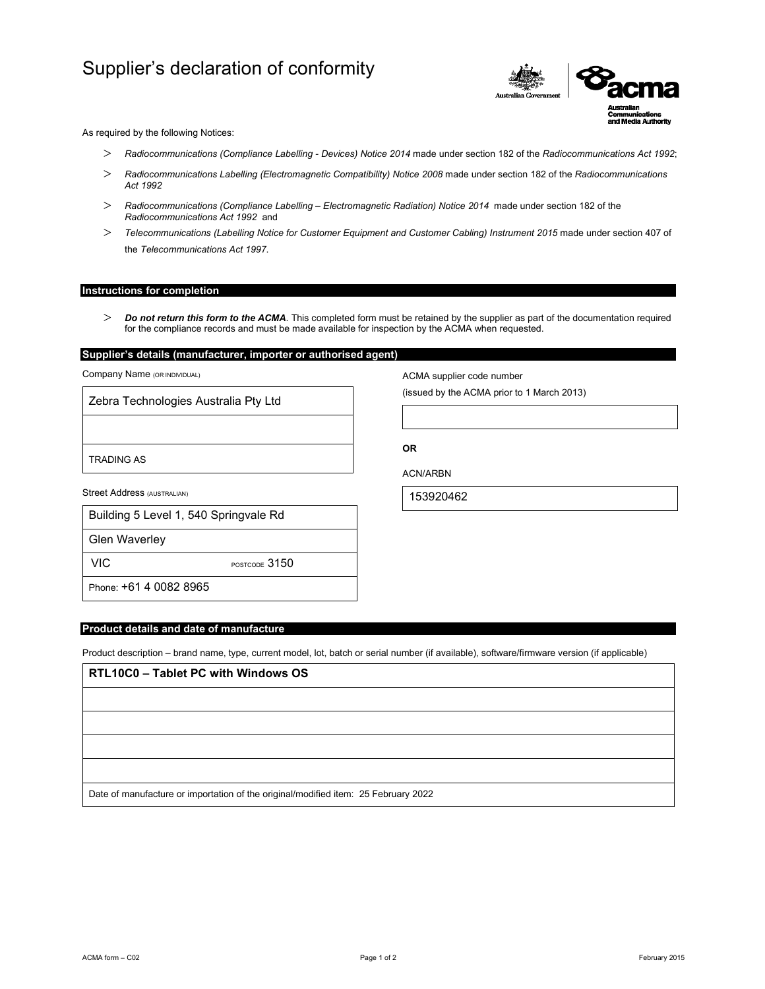# Supplier's declaration of conformity



As required by the following Notices:

- *Radiocommunications (Compliance Labelling Devices) Notice 2014* made under section 182 of the *Radiocommunications Act 1992*;
- *Radiocommunications Labelling (Electromagnetic Compatibility) Notice 2008* made under section 182 of the *Radiocommunications Act 1992*
- *Radiocommunications (Compliance Labelling Electromagnetic Radiation) Notice 2014* made under section 182 of the *Radiocommunications Act 1992* and
- *Telecommunications (Labelling Notice for Customer Equipment and Customer Cabling) Instrument 2015* made under section 407 of the *Telecommunications Act 1997*.

## **Instructions for completion**

 *Do not return this form to the ACMA*. This completed form must be retained by the supplier as part of the documentation required for the compliance records and must be made available for inspection by the ACMA when requested.

# **Supplier's details (manufacturer, importer or authorised agent)**

Company Name (OR INDIVIDUAL)

Zebra Technologies Australia Pty Ltd

TRADING AS

Street Address (AUSTRALIAN)

| Building 5 Level 1, 540 Springvale Rd |
|---------------------------------------|
|                                       |

Glen Waverley

VIC POSTCODE 3150

Phone: +61 4 0082 8965

# **Product details and date of manufacture**

Product description – brand name, type, current model, lot, batch or serial number (if available), software/firmware version (if applicable)

| RTL10C0 - Tablet PC with Windows OS                                                |
|------------------------------------------------------------------------------------|
|                                                                                    |
|                                                                                    |
|                                                                                    |
|                                                                                    |
| Date of manufacture or importation of the original/modified item: 25 February 2022 |

ACMA form – C02 Page 1 of 2 February 2015

ACMA supplier code number

(issued by the ACMA prior to 1 March 2013)

**OR** 

ACN/ARBN

153920462